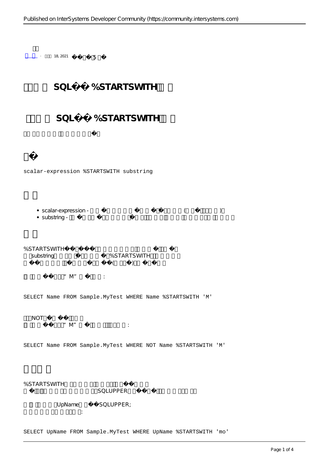$+$  18, 2021 5 SQL %STARTSWITH SQL %STARTSWITH scalar-expression %STARTSWITH substring  $\bullet$  scalar-expression -  $($ • substring -%STARTSWITH substring %STARTSWITH  $($  $"\mathsf{M}"\qquad \qquad :$ SELECT Name FROM Sample.MyTest WHERE Name %STARTSWITH 'M' NOT  $\mathscr{C}(\mathbb{M})^n$ SELECT Name FROM Sample.MyTest WHERE NOT Name %STARTSWITH 'M' %STARTSWITH SQLUPPER UpName SQLUPPER; 子字符串匹配不区分大小写:

SELECT UpName FROM Sample.MyTest WHERE UpName %STARTSWITH 'mo'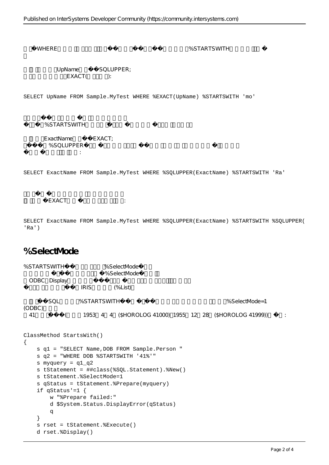WHERE % STARTSWITH

UpName SQLUPPER; 但是子字符串匹配是EXACT(区分大小写):

SELECT UpName FROM Sample.MyTest WHERE %EXACT(UpName) %STARTSWITH 'mo'

%STARTSWITH

ExactName **EXACT**; %SQLUPPER 这个比较不会返回任何字段:

SELECT ExactName FROM Sample.MyTest WHERE %SQLUPPER(ExactName) %STARTSWITH 'Ra'

EXACT

SELECT ExactName FROM Sample.MyTest WHERE %SQLUPPER(ExactName) %STARTSWITH %SQLUPPER( 'Ra')

## **%SelectMode**

%STARTSWITH %SelectMode %SelectMode ODBC Display IRIS (%List) SOL %STARTSWITH  $\%$  $(ODBC)$ 41 (1953 4 4 (\$HOROLOG 41000) 1955 12 28 (\$HOROLOG 41999)) :

```
ClassMethod StartsWith()
{
     s q1 = "SELECT Name,DOB FROM Sample.Person "
     s q2 = "WHERE DOB %STARTSWITH '41%'"
     s myquery = q1_q2
     s tStatement = ##class(%SQL.Statement).%New()
     s tStatement.%SelectMode=1
     s qStatus = tStatement.%Prepare(myquery)
     if qStatus'=1 {
         w "%Prepare failed:" 
         d $System.Status.DisplayError(qStatus) 
         q
     }
     s rset = tStatement.%Execute()
     d rset.%Display()
```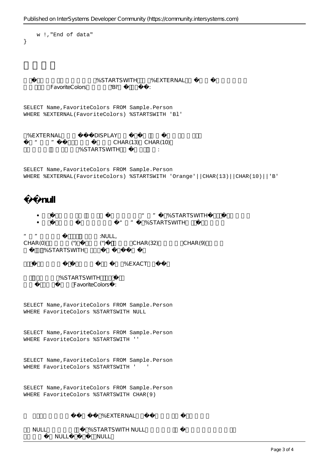```
 w !,"End of data"
}
                           %STARTSWITH %EXTERNAL
          FavoriteColors PH'
SELECT Name,FavoriteColors FROM Sample.Person
WHERE %EXTERNAL(FavoriteColors) %STARTSWITH 'Bl'
 %EXTERNAL<br>DISPLAY
   ""
CHAR(13)
CHAR(10)
                     %STARTSWITH,
SELECT Name,FavoriteColors FROM Sample.Person
WHERE %EXTERNAL(FavoriteColors) %STARTSWITH 'Orange'||CHAR(13)||CHAR(10)||'B'
      过滤null
                                           THE STARTSWITH
                                     如果标量表达式为空且子字符串为"空"值,%STARTSWITH不返回标量表达式。
\overline{C} \overline{C} \overline{C} \overline{C} \overline{C} \overline{C} \overline{C} \overline{C} \overline{C} \overline{C} \overline{C} \overline{C} \overline{C} \overline{C} \overline{C} \overline{C} \overline{C} \overline{C} \overline{C} \overline{C} \overline{C} \overline{C} \overline{C} \overline{C} \overline{("), CHAR(32) CHAR(9)%STARTSWITH
                                      % F X A C T
             %STARTSWITH
                   FavoriteColors :
SELECT Name,FavoriteColors FROM Sample.Person
WHERE FavoriteColors %STARTSWITH NULL
SELECT Name,FavoriteColors FROM Sample.Person
WHERE FavoriteColors %STARTSWITH ''
SELECT Name,FavoriteColors FROM Sample.Person
WHERE FavoriteColors %STARTSWITH ' '
SELECT Name,FavoriteColors FROM Sample.Person
WHERE FavoriteColors %STARTSWITH CHAR(9)
                              %FXTERNAL
   NULL <br>
%STARTSWITH NULLNULL<sub>W</sub>, NULL
```
Published on InterSystems Developer Community (https://community.intersystems.com)